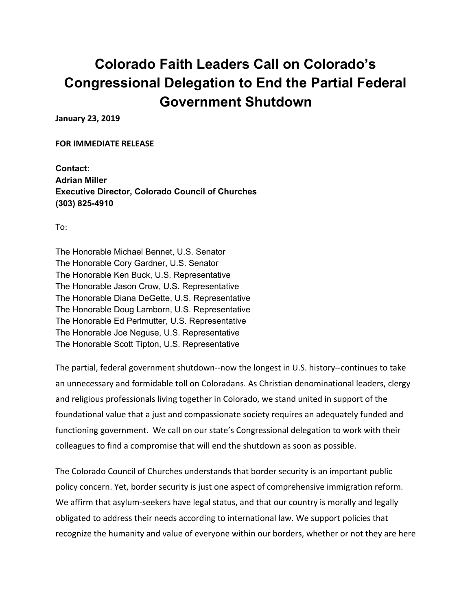## **Colorado Faith Leaders Call on Colorado's Congressional Delegation to End the Partial Federal Government Shutdown**

**January 23, 2019**

**FOR IMMEDIATE RELEASE**

**Contact: Adrian Miller Executive Director, Colorado Council of Churches (303) 825-4910**

To:

The Honorable Michael Bennet, U.S. Senator The Honorable Cory Gardner, U.S. Senator The Honorable Ken Buck, U.S. Representative The Honorable Jason Crow, U.S. Representative The Honorable Diana DeGette, U.S. Representative The Honorable Doug Lamborn, U.S. Representative The Honorable Ed Perlmutter, U.S. Representative The Honorable Joe Neguse, U.S. Representative The Honorable Scott Tipton, U.S. Representative

The partial, federal government shutdown--now the longest in U.S. history--continues to take an unnecessary and formidable toll on Coloradans. As Christian denominational leaders, clergy and religious professionals living together in Colorado, we stand united in support of the foundational value that a just and compassionate society requires an adequately funded and functioning government. We call on our state's Congressional delegation to work with their colleagues to find a compromise that will end the shutdown as soon as possible.

The Colorado Council of Churches understands that border security is an important public policy concern. Yet, border security is just one aspect of comprehensive immigration reform. We affirm that asylum-seekers have legal status, and that our country is morally and legally obligated to address their needs according to international law. We support policies that recognize the humanity and value of everyone within our borders, whether or not they are here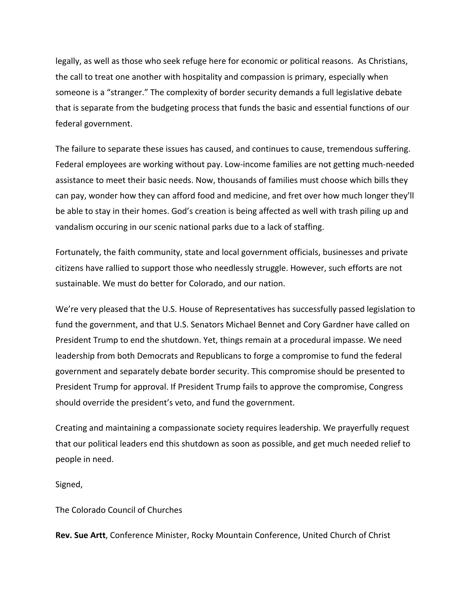legally, as well as those who seek refuge here for economic or political reasons. As Christians, the call to treat one another with hospitality and compassion is primary, especially when someone is a "stranger." The complexity of border security demands a full legislative debate that is separate from the budgeting process that funds the basic and essential functions of our federal government.

The failure to separate these issues has caused, and continues to cause, tremendous suffering. Federal employees are working without pay. Low-income families are not getting much-needed assistance to meet their basic needs. Now, thousands of families must choose which bills they can pay, wonder how they can afford food and medicine, and fret over how much longer they'll be able to stay in their homes. God's creation is being affected as well with trash piling up and vandalism occuring in our scenic national parks due to a lack of staffing.

Fortunately, the faith community, state and local government officials, businesses and private citizens have rallied to support those who needlessly struggle. However, such efforts are not sustainable. We must do better for Colorado, and our nation.

We're very pleased that the U.S. House of Representatives has successfully passed legislation to fund the government, and that U.S. Senators Michael Bennet and Cory Gardner have called on President Trump to end the shutdown. Yet, things remain at a procedural impasse. We need leadership from both Democrats and Republicans to forge a compromise to fund the federal government and separately debate border security. This compromise should be presented to President Trump for approval. If President Trump fails to approve the compromise, Congress should override the president's veto, and fund the government.

Creating and maintaining a compassionate society requires leadership. We prayerfully request that our political leaders end this shutdown as soon as possible, and get much needed relief to people in need.

Signed,

The Colorado Council of Churches

**Rev. Sue Artt**, Conference Minister, Rocky Mountain Conference, United Church of Christ